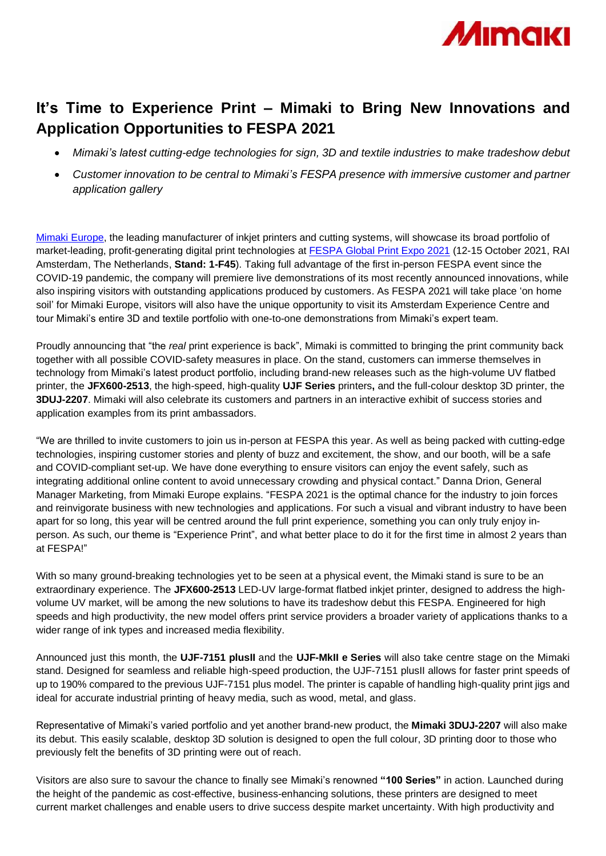

## **It's Time to Experience Print – Mimaki to Bring New Innovations and Application Opportunities to FESPA 2021**

- *Mimaki's latest cutting-edge technologies for sign, 3D and textile industries to make tradeshow debut*
- *Customer innovation to be central to Mimaki's FESPA presence with immersive customer and partner application gallery*

[Mimaki Europe,](http://www.mimakieurope.com/) the leading manufacturer of inkjet printers and cutting systems, will showcase its broad portfolio of market-leading, profit-generating digital print technologies at [FESPA Global Print Expo 2021](https://www.fespaglobalprintexpo.com/welcome) (12-15 October 2021, RAI Amsterdam, The Netherlands, **Stand: 1-F45**). Taking full advantage of the first in-person FESPA event since the COVID-19 pandemic, the company will premiere live demonstrations of its most recently announced innovations, while also inspiring visitors with outstanding applications produced by customers. As FESPA 2021 will take place 'on home soil' for Mimaki Europe, visitors will also have the unique opportunity to visit its Amsterdam Experience Centre and tour Mimaki's entire 3D and textile portfolio with one-to-one demonstrations from Mimaki's expert team.

Proudly announcing that "the *real* print experience is back", Mimaki is committed to bringing the print community back together with all possible COVID-safety measures in place. On the stand, customers can immerse themselves in technology from Mimaki's latest product portfolio, including brand-new releases such as the high-volume UV flatbed printer, the **JFX600-2513**, the high-speed, high-quality **UJF Series** printers**,** and the full-colour desktop 3D printer, the **3DUJ-2207**. Mimaki will also celebrate its customers and partners in an interactive exhibit of success stories and application examples from its print ambassadors.

"We are thrilled to invite customers to join us in-person at FESPA this year. As well as being packed with cutting-edge technologies, inspiring customer stories and plenty of buzz and excitement, the show, and our booth, will be a safe and COVID-compliant set-up. We have done everything to ensure visitors can enjoy the event safely, such as integrating additional online content to avoid unnecessary crowding and physical contact." Danna Drion, General Manager Marketing, from Mimaki Europe explains. "FESPA 2021 is the optimal chance for the industry to join forces and reinvigorate business with new technologies and applications. For such a visual and vibrant industry to have been apart for so long, this year will be centred around the full print experience, something you can only truly enjoy inperson. As such, our theme is "Experience Print", and what better place to do it for the first time in almost 2 years than at FESPA!"

With so many ground-breaking technologies yet to be seen at a physical event, the Mimaki stand is sure to be an extraordinary experience. The **JFX600-2513** LED-UV large-format flatbed inkjet printer, designed to address the highvolume UV market, will be among the new solutions to have its tradeshow debut this FESPA. Engineered for high speeds and high productivity, the new model offers print service providers a broader variety of applications thanks to a wider range of ink types and increased media flexibility.

Announced just this month, the **UJF-7151 plusII** and the **UJF-MkII e Series** will also take centre stage on the Mimaki stand. Designed for seamless and reliable high-speed production, the UJF-7151 plusII allows for faster print speeds of up to 190% compared to the previous UJF-7151 plus model. The printer is capable of handling high-quality print jigs and ideal for accurate industrial printing of heavy media, such as wood, metal, and glass.

Representative of Mimaki's varied portfolio and yet another brand-new product, the **Mimaki 3DUJ-2207** will also make its debut. This easily scalable, desktop 3D solution is designed to open the full colour, 3D printing door to those who previously felt the benefits of 3D printing were out of reach.

Visitors are also sure to savour the chance to finally see Mimaki's renowned **"100 Series"** in action. Launched during the height of the pandemic as cost-effective, business-enhancing solutions, these printers are designed to meet current market challenges and enable users to drive success despite market uncertainty. With high productivity and